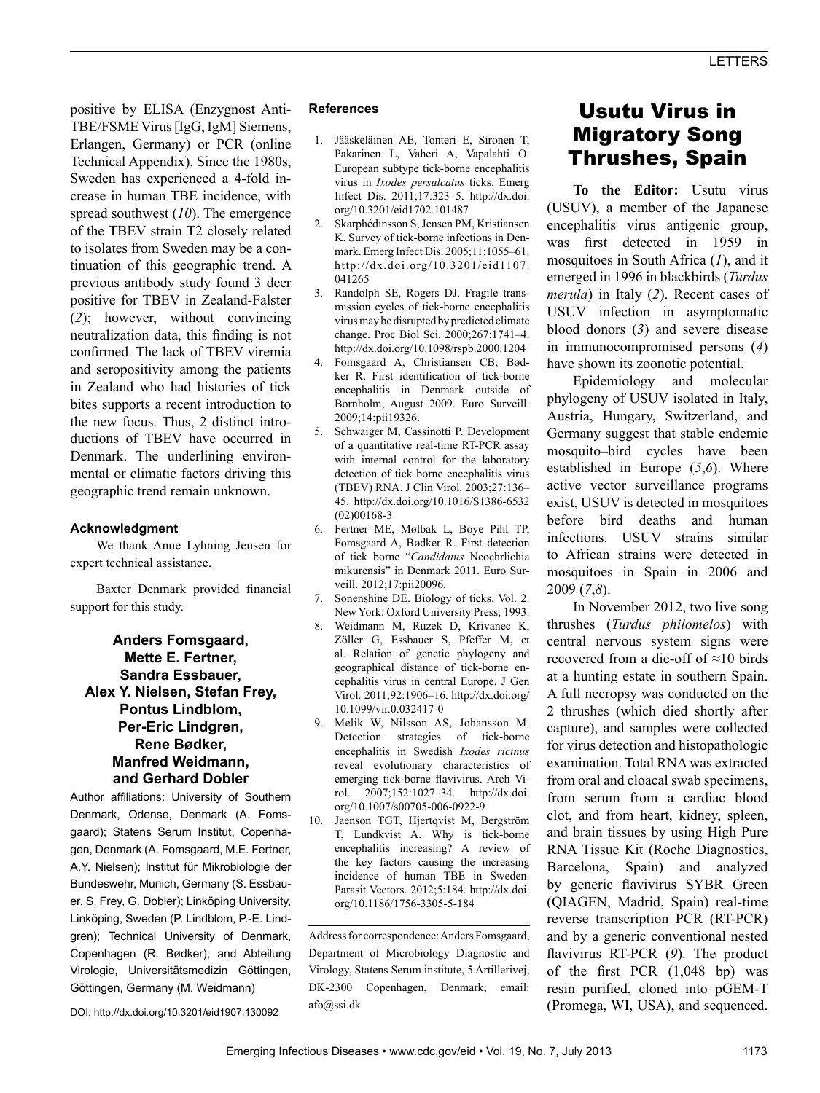positive by ELISA (Enzygnost Anti-TBE/FSME Virus [IgG, IgM] Siemens, Erlangen, Germany) or PCR (online Technical Appendix). Since the 1980s, Sweden has experienced a 4-fold increase in human TBE incidence, with spread southwest (*10*). The emergence of the TBEV strain T2 closely related to isolates from Sweden may be a continuation of this geographic trend. A previous antibody study found 3 deer positive for TBEV in Zealand-Falster (*2*); however, without convincing neutralization data, this finding is not confirmed. The lack of TBEV viremia and seropositivity among the patients in Zealand who had histories of tick bites supports a recent introduction to the new focus. Thus, 2 distinct introductions of TBEV have occurred in Denmark. The underlining environmental or climatic factors driving this geographic trend remain unknown.

## **Acknowledgment**

We thank Anne Lyhning Jensen for expert technical assistance.

Baxter Denmark provided financial support for this study.

## **Anders Fomsgaard, Mette E. Fertner, Sandra Essbauer, Alex Y. Nielsen, Stefan Frey, Pontus Lindblom, Per-Eric Lindgren, Rene Bødker, Manfred Weidmann, and Gerhard Dobler**

Author affiliations: University of Southern Denmark, Odense, Denmark (A. Fomsgaard); Statens Serum Institut, Copenhagen, Denmark (A. Fomsgaard, M.E. Fertner, A.Y. Nielsen); Institut für Mikrobiologie der Bundeswehr, Munich, Germany (S. Essbauer, S. Frey, G. Dobler); Linköping University, Linköping, Sweden (P. Lindblom, P.-E. Lindgren); Technical University of Denmark, Copenhagen (R. Bødker); and Abteilung Virologie, Universitätsmedizin Göttingen, Göttingen, Germany (M. Weidmann)

#### DOI: http://dx.doi.org/10.3201/eid1907.130092

#### **References**

- 1. Jääskeläinen AE, Tonteri E, Sironen T, Pakarinen L, Vaheri A, Vapalahti O. European subtype tick-borne encephalitis virus in *Ixodes persulcatus* ticks. Emerg Infect Dis. 2011;17:323–5. http://dx.doi. org/10.3201/eid1702.101487
- 2. Skarphédinsson S, Jensen PM, Kristiansen K. Survey of tick-borne infections in Denmark. Emerg Infect Dis. 2005;11:1055–61. http://dx.doi.org/10.3201/eid1107. 041265
- 3. Randolph SE, Rogers DJ. Fragile transmission cycles of tick-borne encephalitis virus may be disrupted by predicted climate change. Proc Biol Sci. 2000;267:1741–4. http://dx.doi.org/10.1098/rspb.2000.1204
- 4. Fomsgaard A, Christiansen CB, Bødker R. First identification of tick-borne encephalitis in Denmark outside of Bornholm, August 2009. Euro Surveill. 2009;14:pii19326.
- 5. Schwaiger M, Cassinotti P. Development of a quantitative real-time RT-PCR assay with internal control for the laboratory detection of tick borne encephalitis virus (TBEV) RNA. J Clin Virol. 2003;27:136– 45. http://dx.doi.org/10.1016/S1386-6532 (02)00168-3
- 6. Fertner ME, Mølbak L, Boye Pihl TP, Fomsgaard A, Bødker R. First detection of tick borne "*Candidatus* Neoehrlichia mikurensis" in Denmark 2011. Euro Surveill. 2012;17:pii20096.
- 7. Sonenshine DE. Biology of ticks. Vol. 2. New York: Oxford University Press; 1993.
- 8. Weidmann M, Ruzek D, Krivanec K, Zöller G, Essbauer S, Pfeffer M, et al. Relation of genetic phylogeny and geographical distance of tick-borne encephalitis virus in central Europe. J Gen Virol. 2011;92:1906–16. http://dx.doi.org/ 10.1099/vir.0.032417-0
- 9. Melik W, Nilsson AS, Johansson M. Detection strategies of tick-borne encephalitis in Swedish *Ixodes ricinus* reveal evolutionary characteristics of emerging tick-borne flavivirus. Arch Virol. 2007;152:1027–34. http://dx.doi. org/10.1007/s00705-006-0922-9
- 10. Jaenson TGT, Hjertqvist M, Bergström T, Lundkvist A. Why is tick-borne encephalitis increasing? A review of the key factors causing the increasing incidence of human TBE in Sweden. Parasit Vectors. 2012;5:184. http://dx.doi. org/10.1186/1756-3305-5-184

Address for correspondence: Anders Fomsgaard, Department of Microbiology Diagnostic and Virology, Statens Serum institute, 5 Artillerivej, DK-2300 Copenhagen, Denmark; email: afo@ssi.dk

# Usutu Virus in Migratory Song Thrushes, Spain

**To the Editor:** Usutu virus (USUV), a member of the Japanese encephalitis virus antigenic group, was first detected in 1959 in mosquitoes in South Africa (*1*), and it emerged in 1996 in blackbirds (*Turdus merula*) in Italy (*2*). Recent cases of USUV infection in asymptomatic blood donors (*3*) and severe disease in immunocompromised persons (*4*) have shown its zoonotic potential.

Epidemiology and molecular phylogeny of USUV isolated in Italy, Austria, Hungary, Switzerland, and Germany suggest that stable endemic mosquito–bird cycles have been established in Europe (*5*,*6*). Where active vector surveillance programs exist, USUV is detected in mosquitoes before bird deaths and human infections. USUV strains similar to African strains were detected in mosquitoes in Spain in 2006 and 2009 (*7*,*8*).

In November 2012, two live song thrushes (*Turdus philomelos*) with central nervous system signs were recovered from a die-off of ≈10 birds at a hunting estate in southern Spain. A full necropsy was conducted on the 2 thrushes (which died shortly after capture), and samples were collected for virus detection and histopathologic examination. Total RNA was extracted from oral and cloacal swab specimens, from serum from a cardiac blood clot, and from heart, kidney, spleen, and brain tissues by using High Pure RNA Tissue Kit (Roche Diagnostics, Barcelona, Spain) and analyzed by generic flavivirus SYBR Green (QIAGEN, Madrid, Spain) real-time reverse transcription PCR (RT-PCR) and by a generic conventional nested flavivirus RT-PCR (*9*). The product of the first PCR (1,048 bp) was resin purified, cloned into pGEM-T (Promega, WI, USA), and sequenced.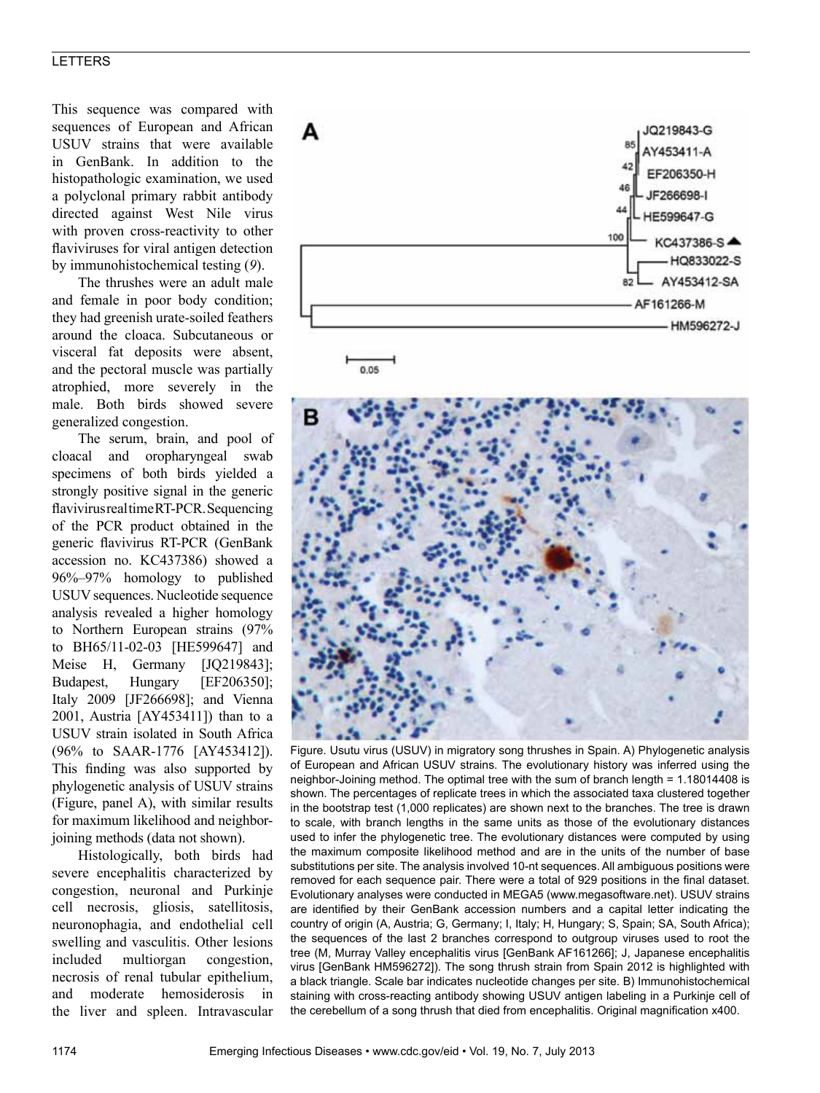This sequence was compared with sequences of European and African USUV strains that were available in GenBank. In addition to the histopathologic examination, we used a polyclonal primary rabbit antibody directed against West Nile virus with proven cross-reactivity to other flaviviruses for viral antigen detection by immunohistochemical testing (*9*).

The thrushes were an adult male and female in poor body condition; they had greenish urate-soiled feathers around the cloaca. Subcutaneous or visceral fat deposits were absent, and the pectoral muscle was partially atrophied, more severely in the male. Both birds showed severe generalized congestion.

The serum, brain, and pool of cloacal and oropharyngeal swab specimens of both birds yielded a strongly positive signal in the generic flavivirus real time RT-PCR. Sequencing of the PCR product obtained in the generic flavivirus RT-PCR (GenBank accession no. KC437386) showed a 96%–97% homology to published USUV sequences. Nucleotide sequence analysis revealed a higher homology to Northern European strains (97% to BH65/11-02-03 [HE599647] and Meise H, Germany [JQ219843]; Budapest, Hungary [EF206350]; Italy 2009 [JF266698]; and Vienna 2001, Austria [AY453411]) than to a USUV strain isolated in South Africa (96% to SAAR-1776 [AY453412]). This finding was also supported by phylogenetic analysis of USUV strains (Figure, panel A), with similar results for maximum likelihood and neighborjoining methods (data not shown).

Histologically, both birds had severe encephalitis characterized by congestion, neuronal and Purkinje cell necrosis, gliosis, satellitosis, neuronophagia, and endothelial cell swelling and vasculitis. Other lesions included multiorgan congestion, necrosis of renal tubular epithelium, and moderate hemosiderosis in the liver and spleen. Intravascular



Figure. Usutu virus (USUV) in migratory song thrushes in Spain. A) Phylogenetic analysis of European and African USUV strains. The evolutionary history was inferred using the neighbor-Joining method. The optimal tree with the sum of branch length = 1.18014408 is shown. The percentages of replicate trees in which the associated taxa clustered together in the bootstrap test (1,000 replicates) are shown next to the branches. The tree is drawn to scale, with branch lengths in the same units as those of the evolutionary distances used to infer the phylogenetic tree. The evolutionary distances were computed by using the maximum composite likelihood method and are in the units of the number of base substitutions per site. The analysis involved 10-nt sequences.All ambiguous positions were removed for each sequence pair. There were a total of 929 positions in the final dataset. Evolutionary analyses were conducted in MEGA5 (www.megasoftware.net). USUV strains are identified by their GenBank accession numbers and a capital letter indicating the country of origin (A, Austria; G, Germany; I, Italy; H, Hungary; S, Spain; SA, South Africa); the sequences of the last 2 branches correspond to outgroup viruses used to root the tree (M, Murray Valley encephalitis virus [GenBank AF161266]; J, Japanese encephalitis virus [GenBank HM596272]). The song thrush strain from Spain 2012 is highlighted with a black triangle. Scale bar indicates nucleotide changes per site. B) Immunohistochemical staining with cross-reacting antibody showing USUV antigen labeling in a Purkinje cell of the cerebellum of a song thrush that died from encephalitis. Original magnification x400.